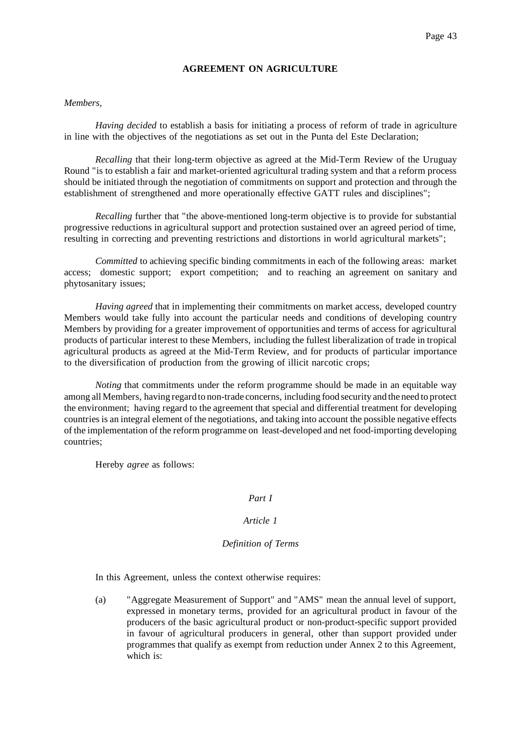### **AGREEMENT ON AGRICULTURE**

### *Members,*

*Having decided* to establish a basis for initiating a process of reform of trade in agriculture in line with the objectives of the negotiations as set out in the Punta del Este Declaration;

*Recalling* that their long-term objective as agreed at the Mid-Term Review of the Uruguay Round "is to establish a fair and market-oriented agricultural trading system and that a reform process should be initiated through the negotiation of commitments on support and protection and through the establishment of strengthened and more operationally effective GATT rules and disciplines";

*Recalling* further that "the above-mentioned long-term objective is to provide for substantial progressive reductions in agricultural support and protection sustained over an agreed period of time, resulting in correcting and preventing restrictions and distortions in world agricultural markets";

*Committed* to achieving specific binding commitments in each of the following areas: market access; domestic support; export competition; and to reaching an agreement on sanitary and phytosanitary issues;

*Having agreed* that in implementing their commitments on market access, developed country Members would take fully into account the particular needs and conditions of developing country Members by providing for a greater improvement of opportunities and terms of access for agricultural products of particular interest to these Members, including the fullest liberalization of trade in tropical agricultural products as agreed at the Mid-Term Review, and for products of particular importance to the diversification of production from the growing of illicit narcotic crops;

*Noting* that commitments under the reform programme should be made in an equitable way among all Members, having regard to non-trade concerns, including food security and the need to protect the environment; having regard to the agreement that special and differential treatment for developing countriesis an integral element of the negotiations, and taking into account the possible negative effects of the implementation of the reform programme on least-developed and net food-importing developing countries;

Hereby *agree* as follows:

### *Part I*

### *Article 1*

#### *Definition of Terms*

In this Agreement, unless the context otherwise requires:

(a) "Aggregate Measurement of Support" and "AMS" mean the annual level of support, expressed in monetary terms, provided for an agricultural product in favour of the producers of the basic agricultural product or non-product-specific support provided in favour of agricultural producers in general, other than support provided under programmes that qualify as exempt from reduction under Annex 2 to this Agreement, which is: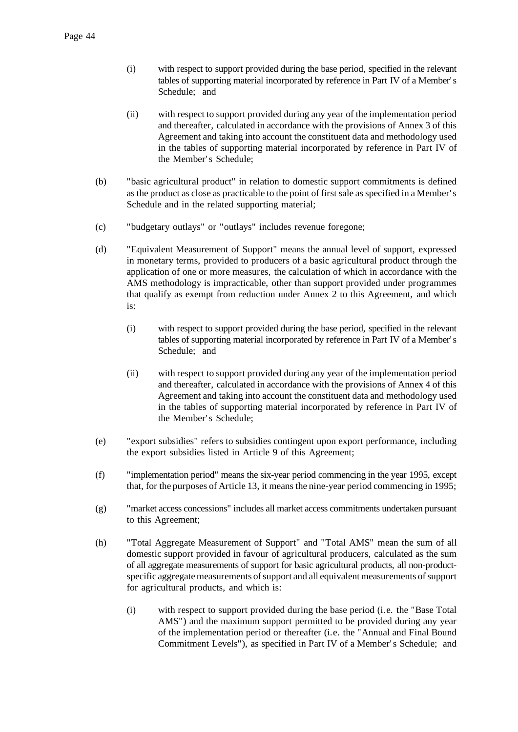- (i) with respect to support provided during the base period, specified in the relevant tables of supporting material incorporated by reference in Part IV of a Member's Schedule; and
- (ii) with respect to support provided during any year of the implementation period and thereafter, calculated in accordance with the provisions of Annex 3 of this Agreement and taking into account the constituent data and methodology used in the tables of supporting material incorporated by reference in Part IV of the Member's Schedule;
- (b) "basic agricultural product" in relation to domestic support commitments is defined asthe product as close as practicable to the point of firstsale asspecified in a Member's Schedule and in the related supporting material;
- (c) "budgetary outlays" or "outlays" includes revenue foregone;
- (d) "Equivalent Measurement of Support" means the annual level of support, expressed in monetary terms, provided to producers of a basic agricultural product through the application of one or more measures, the calculation of which in accordance with the AMS methodology is impracticable, other than support provided under programmes that qualify as exempt from reduction under Annex 2 to this Agreement, and which is:
	- (i) with respect to support provided during the base period, specified in the relevant tables of supporting material incorporated by reference in Part IV of a Member's Schedule; and
	- (ii) with respect to support provided during any year of the implementation period and thereafter, calculated in accordance with the provisions of Annex 4 of this Agreement and taking into account the constituent data and methodology used in the tables of supporting material incorporated by reference in Part IV of the Member's Schedule;
- (e) "export subsidies" refers to subsidies contingent upon export performance, including the export subsidies listed in Article 9 of this Agreement;
- (f) "implementation period" means the six-year period commencing in the year 1995, except that, for the purposes of Article 13, it means the nine-year period commencing in 1995;
- (g) "market access concessions" includes all market access commitments undertaken pursuant to this Agreement;
- (h) "Total Aggregate Measurement of Support" and "Total AMS" mean the sum of all domestic support provided in favour of agricultural producers, calculated as the sum of all aggregate measurements of support for basic agricultural products, all non-productspecific aggregate measurements of support and all equivalent measurements of support for agricultural products, and which is:
	- (i) with respect to support provided during the base period (i.e. the "Base Total AMS") and the maximum support permitted to be provided during any year of the implementation period or thereafter (i.e. the "Annual and Final Bound Commitment Levels"), as specified in Part IV of a Member's Schedule; and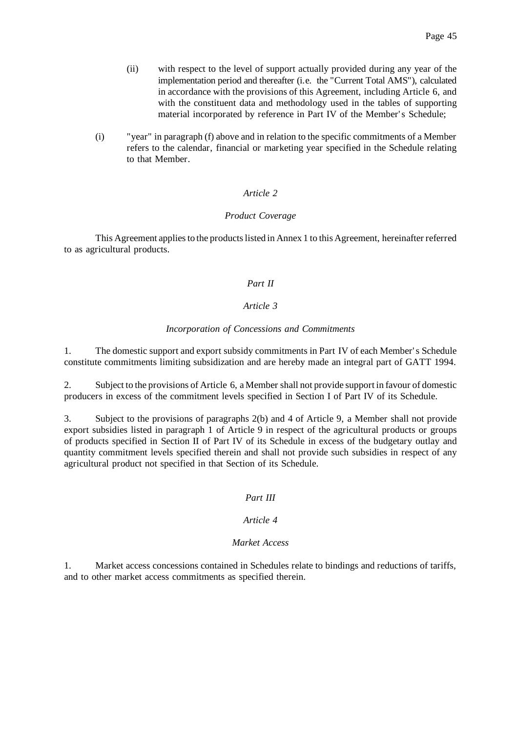- (ii) with respect to the level of support actually provided during any year of the implementation period and thereafter (i.e. the "Current Total AMS"), calculated in accordance with the provisions of this Agreement, including Article 6, and with the constituent data and methodology used in the tables of supporting material incorporated by reference in Part IV of the Member's Schedule;
- (i) "year" in paragraph (f) above and in relation to the specific commitments of a Member refers to the calendar, financial or marketing year specified in the Schedule relating to that Member.

# *Article 2*

# *Product Coverage*

This Agreement applies to the products listed in Annex 1 to this Agreement, hereinafter referred to as agricultural products.

# *Part II*

# *Article 3*

### *Incorporation of Concessions and Commitments*

1. The domestic support and export subsidy commitments in Part IV of each Member's Schedule constitute commitments limiting subsidization and are hereby made an integral part of GATT 1994.

2. Subject to the provisions of Article 6, a Member shall not provide support in favour of domestic producers in excess of the commitment levels specified in Section I of Part IV of its Schedule.

3. Subject to the provisions of paragraphs 2(b) and 4 of Article 9, a Member shall not provide export subsidies listed in paragraph 1 of Article 9 in respect of the agricultural products or groups of products specified in Section II of Part IV of its Schedule in excess of the budgetary outlay and quantity commitment levels specified therein and shall not provide such subsidies in respect of any agricultural product not specified in that Section of its Schedule.

### *Part III*

### *Article 4*

### *Market Access*

1. Market access concessions contained in Schedules relate to bindings and reductions of tariffs, and to other market access commitments as specified therein.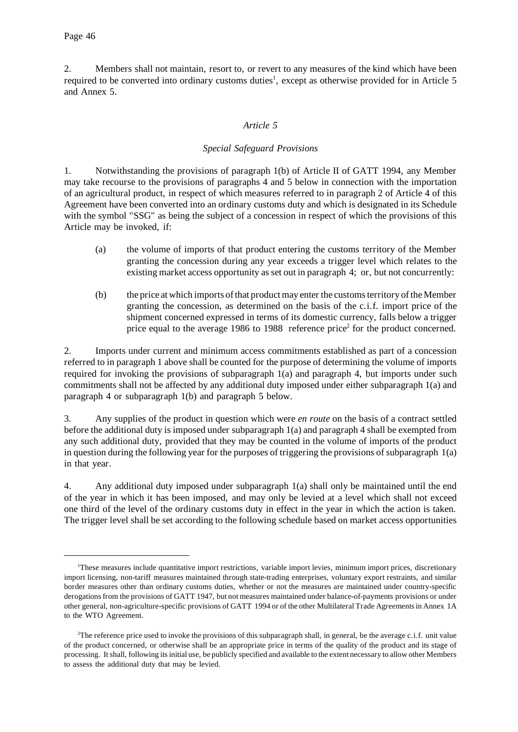2. Members shall not maintain, resort to, or revert to any measures of the kind which have been required to be converted into ordinary customs duties<sup>1</sup>, except as otherwise provided for in Article 5 and Annex 5.

### *Article 5*

### *Special Safeguard Provisions*

1. Notwithstanding the provisions of paragraph 1(b) of Article II of GATT 1994, any Member may take recourse to the provisions of paragraphs 4 and 5 below in connection with the importation of an agricultural product, in respect of which measures referred to in paragraph 2 of Article 4 of this Agreement have been converted into an ordinary customs duty and which is designated in its Schedule with the symbol "SSG" as being the subject of a concession in respect of which the provisions of this Article may be invoked, if:

- (a) the volume of imports of that product entering the customs territory of the Member granting the concession during any year exceeds a trigger level which relates to the existing market access opportunity as set out in paragraph 4; or, but not concurrently:
- (b) the price at which imports ofthat productmay enterthe customsterritory ofthe Member granting the concession, as determined on the basis of the c.i.f. import price of the shipment concerned expressed in terms of its domestic currency, falls below a trigger price equal to the average 1986 to 1988 reference price<sup>2</sup> for the product concerned.

2. Imports under current and minimum access commitments established as part of a concession referred to in paragraph 1 above shall be counted for the purpose of determining the volume of imports required for invoking the provisions of subparagraph 1(a) and paragraph 4, but imports under such commitments shall not be affected by any additional duty imposed under either subparagraph 1(a) and paragraph 4 or subparagraph 1(b) and paragraph 5 below.

3. Any supplies of the product in question which were *en route* on the basis of a contract settled before the additional duty is imposed under subparagraph 1(a) and paragraph 4 shall be exempted from any such additional duty, provided that they may be counted in the volume of imports of the product in question during the following year for the purposes of triggering the provisions of subparagraph  $1(a)$ in that year.

4. Any additional duty imposed under subparagraph 1(a) shall only be maintained until the end of the year in which it has been imposed, and may only be levied at a level which shall not exceed one third of the level of the ordinary customs duty in effect in the year in which the action is taken. The trigger level shall be set according to the following schedule based on market access opportunities

<sup>1</sup>These measures include quantitative import restrictions, variable import levies, minimum import prices, discretionary import licensing, non-tariff measures maintained through state-trading enterprises, voluntary export restraints, and similar border measures other than ordinary customs duties, whether or not the measures are maintained under country-specific derogations from the provisions of GATT 1947, but not measures maintained under balance-of-payments provisions or under other general, non-agriculture-specific provisions of GATT 1994 or of the other Multilateral Trade Agreements in Annex 1A to the WTO Agreement.

<sup>2</sup>The reference price used to invoke the provisions of this subparagraph shall, in general, be the average c.i.f. unit value of the product concerned, or otherwise shall be an appropriate price in terms of the quality of the product and its stage of processing. It shall, following its initial use, be publicly specified and available to the extent necessary to allow other Members to assess the additional duty that may be levied.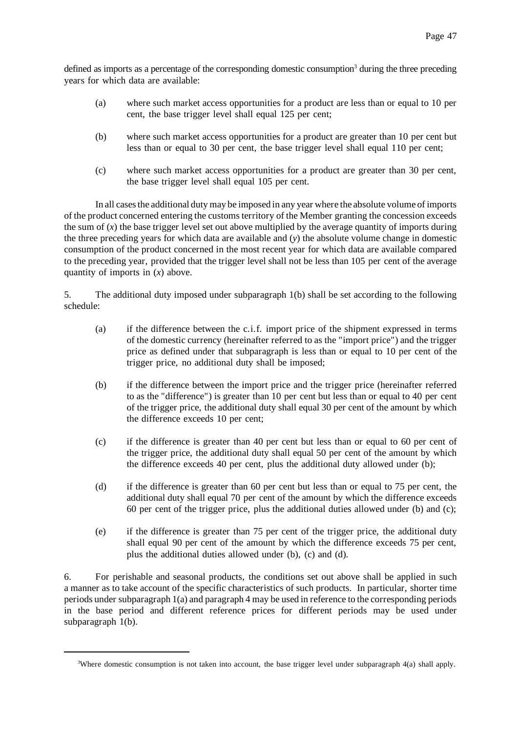defined as imports as a percentage of the corresponding domestic consumption <sup>3</sup> during the three preceding years for which data are available:

- (a) where such market access opportunities for a product are less than or equal to 10 per cent, the base trigger level shall equal 125 per cent;
- (b) where such market access opportunities for a product are greater than 10 per cent but less than or equal to 30 per cent, the base trigger level shall equal 110 per cent;
- (c) where such market access opportunities for a product are greater than 30 per cent, the base trigger level shall equal 105 per cent.

In all casesthe additional duty may be imposed in any year where the absolute volume of imports of the product concerned entering the customsterritory of the Member granting the concession exceeds the sum of  $(x)$  the base trigger level set out above multiplied by the average quantity of imports during the three preceding years for which data are available and (*y*) the absolute volume change in domestic consumption of the product concerned in the most recent year for which data are available compared to the preceding year, provided that the trigger level shall not be less than 105 per cent of the average quantity of imports in (*x*) above.

5. The additional duty imposed under subparagraph 1(b) shall be set according to the following schedule:

- (a) if the difference between the c.i.f. import price of the shipment expressed in terms of the domestic currency (hereinafter referred to as the "import price") and the trigger price as defined under that subparagraph is less than or equal to 10 per cent of the trigger price, no additional duty shall be imposed;
- (b) if the difference between the import price and the trigger price (hereinafter referred to as the "difference") is greater than 10 per cent but less than or equal to 40 per cent of the trigger price, the additional duty shall equal 30 per cent of the amount by which the difference exceeds 10 per cent;
- (c) if the difference is greater than 40 per cent but less than or equal to 60 per cent of the trigger price, the additional duty shall equal 50 per cent of the amount by which the difference exceeds 40 per cent, plus the additional duty allowed under (b);
- (d) if the difference is greater than 60 per cent but less than or equal to 75 per cent, the additional duty shall equal 70 per cent of the amount by which the difference exceeds 60 per cent of the trigger price, plus the additional duties allowed under (b) and (c);
- (e) if the difference is greater than 75 per cent of the trigger price, the additional duty shall equal 90 per cent of the amount by which the difference exceeds 75 per cent, plus the additional duties allowed under (b), (c) and (d).

6. For perishable and seasonal products, the conditions set out above shall be applied in such a manner as to take account of the specific characteristics of such products. In particular, shorter time periods under subparagraph  $1(a)$  and paragraph 4 may be used in reference to the corresponding periods in the base period and different reference prices for different periods may be used under subparagraph 1(b).

<sup>&</sup>lt;sup>3</sup>Where domestic consumption is not taken into account, the base trigger level under subparagraph 4(a) shall apply.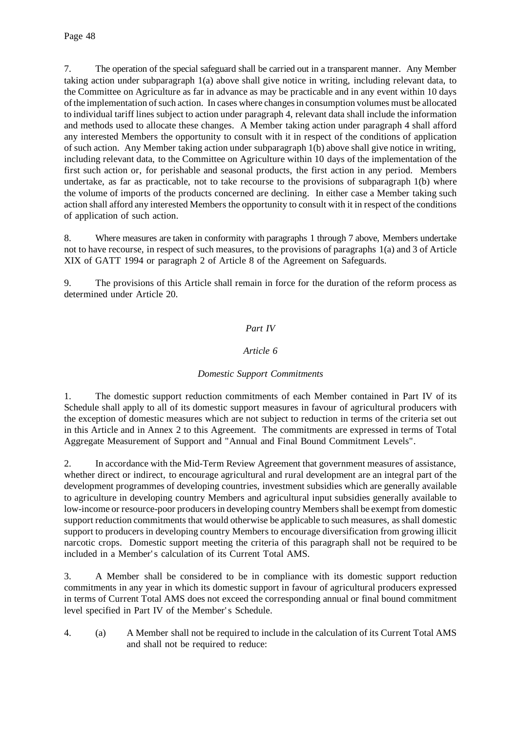7. The operation of the special safeguard shall be carried out in a transparent manner. Any Member taking action under subparagraph 1(a) above shall give notice in writing, including relevant data, to the Committee on Agriculture as far in advance as may be practicable and in any event within 10 days ofthe implementation ofsuch action. In cases where changesin consumption volumes must be allocated to individual tariff lines subject to action under paragraph 4, relevant data shall include the information and methods used to allocate these changes. A Member taking action under paragraph 4 shall afford any interested Members the opportunity to consult with it in respect of the conditions of application of such action. Any Member taking action under subparagraph 1(b) above shall give notice in writing, including relevant data, to the Committee on Agriculture within 10 days of the implementation of the first such action or, for perishable and seasonal products, the first action in any period. Members undertake, as far as practicable, not to take recourse to the provisions of subparagraph 1(b) where the volume of imports of the products concerned are declining. In either case a Member taking such action shall afford any interested Members the opportunity to consult with it in respect of the conditions of application of such action.

8. Where measures are taken in conformity with paragraphs 1 through 7 above, Members undertake not to have recourse, in respect of such measures, to the provisions of paragraphs 1(a) and 3 of Article XIX of GATT 1994 or paragraph 2 of Article 8 of the Agreement on Safeguards.

9. The provisions of this Article shall remain in force for the duration of the reform process as determined under Article 20.

# *Part IV*

# *Article 6*

# *Domestic Support Commitments*

1. The domestic support reduction commitments of each Member contained in Part IV of its Schedule shall apply to all of its domestic support measures in favour of agricultural producers with the exception of domestic measures which are not subject to reduction in terms of the criteria set out in this Article and in Annex 2 to this Agreement. The commitments are expressed in terms of Total Aggregate Measurement of Support and "Annual and Final Bound Commitment Levels".

2. In accordance with the Mid-Term Review Agreement that government measures of assistance, whether direct or indirect, to encourage agricultural and rural development are an integral part of the development programmes of developing countries, investment subsidies which are generally available to agriculture in developing country Members and agricultural input subsidies generally available to low-income or resource-poor producers in developing country Members shall be exempt from domestic support reduction commitments that would otherwise be applicable to such measures, asshall domestic support to producers in developing country Members to encourage diversification from growing illicit narcotic crops. Domestic support meeting the criteria of this paragraph shall not be required to be included in a Member's calculation of its Current Total AMS.

3. A Member shall be considered to be in compliance with its domestic support reduction commitments in any year in which its domestic support in favour of agricultural producers expressed in terms of Current Total AMS does not exceed the corresponding annual or final bound commitment level specified in Part IV of the Member's Schedule.

4. (a) A Member shall not be required to include in the calculation of its Current Total AMS and shall not be required to reduce: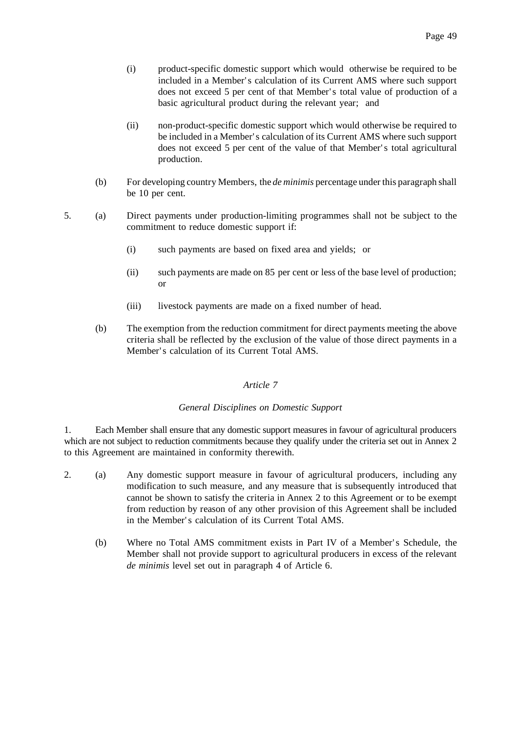- (i) product-specific domestic support which would otherwise be required to be included in a Member's calculation of its Current AMS where such support does not exceed 5 per cent of that Member's total value of production of a basic agricultural product during the relevant year; and
- (ii) non-product-specific domestic support which would otherwise be required to be included in a Member's calculation of its Current AMS where such support does not exceed 5 per cent of the value of that Member's total agricultural production.
- (b) For developing country Members, the *de minimis* percentage underthis paragraph shall be 10 per cent.
- 5. (a) Direct payments under production-limiting programmes shall not be subject to the commitment to reduce domestic support if:
	- (i) such payments are based on fixed area and yields; or
	- (ii) such payments are made on 85 per cent or less of the base level of production; or
	- (iii) livestock payments are made on a fixed number of head.
	- (b) The exemption from the reduction commitment for direct payments meeting the above criteria shall be reflected by the exclusion of the value of those direct payments in a Member's calculation of its Current Total AMS.

### *Article 7*

### *General Disciplines on Domestic Support*

1. Each Member shall ensure that any domestic support measures in favour of agricultural producers which are not subject to reduction commitments because they qualify under the criteria set out in Annex 2 to this Agreement are maintained in conformity therewith.

- 2. (a) Any domestic support measure in favour of agricultural producers, including any modification to such measure, and any measure that is subsequently introduced that cannot be shown to satisfy the criteria in Annex 2 to this Agreement or to be exempt from reduction by reason of any other provision of this Agreement shall be included in the Member's calculation of its Current Total AMS.
	- (b) Where no Total AMS commitment exists in Part IV of a Member's Schedule, the Member shall not provide support to agricultural producers in excess of the relevant *de minimis* level set out in paragraph 4 of Article 6.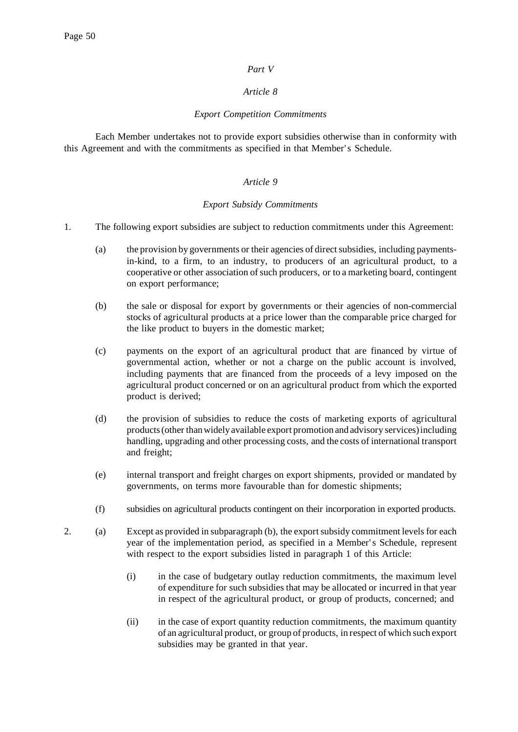### *Part V*

### *Article 8*

### *Export Competition Commitments*

Each Member undertakes not to provide export subsidies otherwise than in conformity with this Agreement and with the commitments as specified in that Member's Schedule.

### *Article 9*

#### *Export Subsidy Commitments*

- 1. The following export subsidies are subject to reduction commitments under this Agreement:
	- (a) the provision by governments ortheir agencies of directsubsidies, including paymentsin-kind, to a firm, to an industry, to producers of an agricultural product, to a cooperative or other association of such producers, or to a marketing board, contingent on export performance;
	- (b) the sale or disposal for export by governments or their agencies of non-commercial stocks of agricultural products at a price lower than the comparable price charged for the like product to buyers in the domestic market;
	- (c) payments on the export of an agricultural product that are financed by virtue of governmental action, whether or not a charge on the public account is involved, including payments that are financed from the proceeds of a levy imposed on the agricultural product concerned or on an agricultural product from which the exported product is derived;
	- (d) the provision of subsidies to reduce the costs of marketing exports of agricultural products(otherthanwidely available export promotion and advisory services)including handling, upgrading and other processing costs, and the costs of international transport and freight;
	- (e) internal transport and freight charges on export shipments, provided or mandated by governments, on terms more favourable than for domestic shipments;
	- (f) subsidies on agricultural products contingent on their incorporation in exported products.
- 2. (a) Except as provided in subparagraph (b), the export subsidy commitment levels for each year of the implementation period, as specified in a Member's Schedule, represent with respect to the export subsidies listed in paragraph 1 of this Article:
	- (i) in the case of budgetary outlay reduction commitments, the maximum level of expenditure for such subsidies that may be allocated or incurred in that year in respect of the agricultural product, or group of products, concerned; and
	- (ii) in the case of export quantity reduction commitments, the maximum quantity of an agricultural product, or group of products, in respect of which such export subsidies may be granted in that year.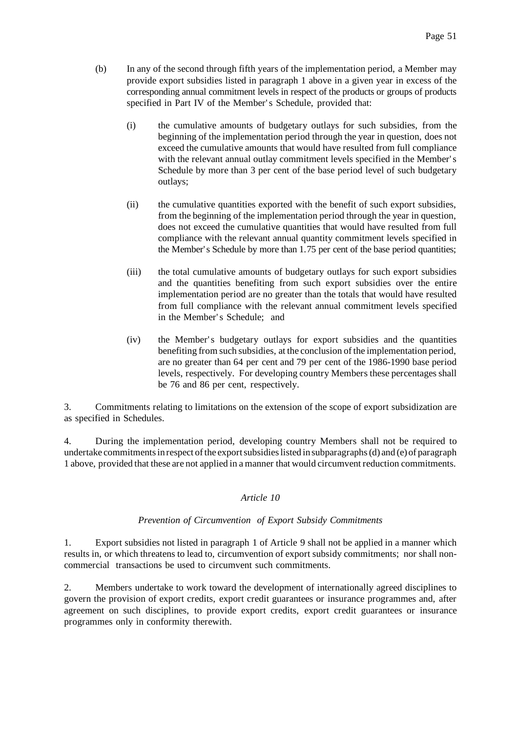- (b) In any of the second through fifth years of the implementation period, a Member may provide export subsidies listed in paragraph 1 above in a given year in excess of the corresponding annual commitment levels in respect of the products or groups of products specified in Part IV of the Member's Schedule, provided that:
	- (i) the cumulative amounts of budgetary outlays for such subsidies, from the beginning of the implementation period through the year in question, does not exceed the cumulative amounts that would have resulted from full compliance with the relevant annual outlay commitment levels specified in the Member's Schedule by more than 3 per cent of the base period level of such budgetary outlays;
	- (ii) the cumulative quantities exported with the benefit of such export subsidies, from the beginning of the implementation period through the year in question, does not exceed the cumulative quantities that would have resulted from full compliance with the relevant annual quantity commitment levels specified in the Member's Schedule by more than 1.75 per cent of the base period quantities;
	- (iii) the total cumulative amounts of budgetary outlays for such export subsidies and the quantities benefiting from such export subsidies over the entire implementation period are no greater than the totals that would have resulted from full compliance with the relevant annual commitment levels specified in the Member's Schedule; and
	- (iv) the Member's budgetary outlays for export subsidies and the quantities benefiting from such subsidies, at the conclusion of the implementation period, are no greater than 64 per cent and 79 per cent of the 1986-1990 base period levels, respectively. For developing country Members these percentages shall be 76 and 86 per cent, respectively.

3. Commitments relating to limitations on the extension of the scope of export subsidization are as specified in Schedules.

4. During the implementation period, developing country Members shall not be required to undertake commitments in respect of the export subsidies listed in subparagraphs (d) and (e) of paragraph 1 above, provided that these are not applied in a manner that would circumventreduction commitments.

### *Article 10*

### *Prevention of Circumvention of Export Subsidy Commitments*

1. Export subsidies not listed in paragraph 1 of Article 9 shall not be applied in a manner which results in, or which threatens to lead to, circumvention of export subsidy commitments; nor shall noncommercial transactions be used to circumvent such commitments.

2. Members undertake to work toward the development of internationally agreed disciplines to govern the provision of export credits, export credit guarantees or insurance programmes and, after agreement on such disciplines, to provide export credits, export credit guarantees or insurance programmes only in conformity therewith.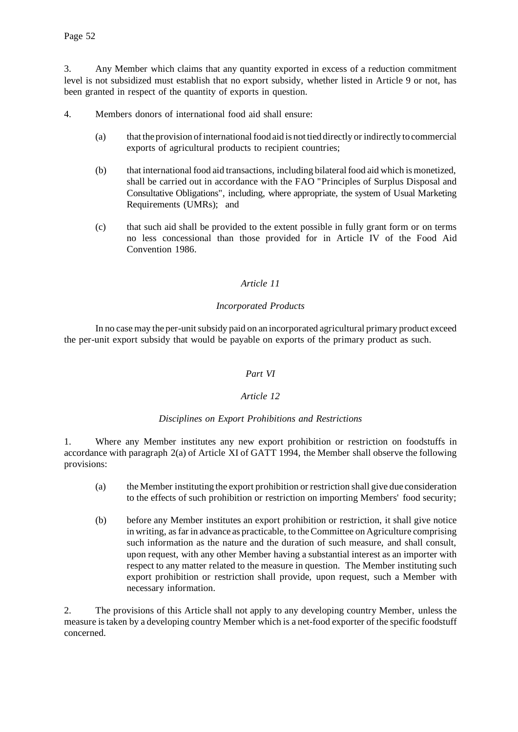3. Any Member which claims that any quantity exported in excess of a reduction commitment level is not subsidized must establish that no export subsidy, whether listed in Article 9 or not, has been granted in respect of the quantity of exports in question.

4. Members donors of international food aid shall ensure:

- (a) that the provision ofinternationalfood aid is not tied directly orindirectly to commercial exports of agricultural products to recipient countries;
- (b) that international food aid transactions, including bilateralfood aid which ismonetized, shall be carried out in accordance with the FAO "Principles of Surplus Disposal and Consultative Obligations", including, where appropriate, the system of Usual Marketing Requirements (UMRs); and
- (c) that such aid shall be provided to the extent possible in fully grant form or on terms no less concessional than those provided for in Article IV of the Food Aid Convention 1986.

### *Article 11*

### *Incorporated Products*

In no case may the per-unit subsidy paid on an incorporated agricultural primary product exceed the per-unit export subsidy that would be payable on exports of the primary product as such.

# *Part VI*

### *Article 12*

### *Disciplines on Export Prohibitions and Restrictions*

1. Where any Member institutes any new export prohibition or restriction on foodstuffs in accordance with paragraph 2(a) of Article XI of GATT 1994, the Member shall observe the following provisions:

- (a) the Member instituting the export prohibition orrestriction shall give due consideration to the effects of such prohibition or restriction on importing Members' food security;
- (b) before any Member institutes an export prohibition or restriction, it shall give notice in writing, as far in advance as practicable, to the Committee on Agriculture comprising such information as the nature and the duration of such measure, and shall consult, upon request, with any other Member having a substantial interest as an importer with respect to any matter related to the measure in question. The Member instituting such export prohibition or restriction shall provide, upon request, such a Member with necessary information.

2. The provisions of this Article shall not apply to any developing country Member, unless the measure istaken by a developing country Member which is a net-food exporter of the specific foodstuff concerned.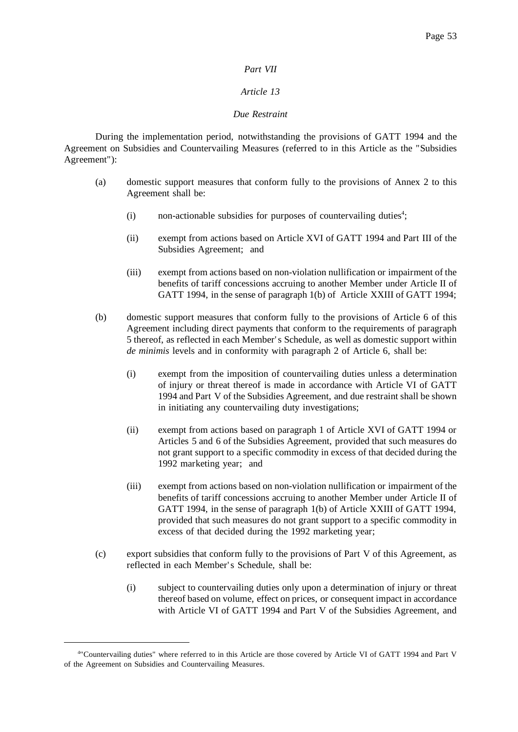### *Part VII*

# *Article 13*

### *Due Restraint*

During the implementation period, notwithstanding the provisions of GATT 1994 and the Agreement on Subsidies and Countervailing Measures (referred to in this Article as the "Subsidies Agreement"):

- (a) domestic support measures that conform fully to the provisions of Annex 2 to this Agreement shall be:
	- $(i)$  non-actionable subsidies for purposes of countervailing duties<sup>4</sup>;
	- (ii) exempt from actions based on Article XVI of GATT 1994 and Part III of the Subsidies Agreement; and
	- (iii) exempt from actions based on non-violation nullification or impairment of the benefits of tariff concessions accruing to another Member under Article II of GATT 1994, in the sense of paragraph 1(b) of Article XXIII of GATT 1994;
- (b) domestic support measures that conform fully to the provisions of Article 6 of this Agreement including direct payments that conform to the requirements of paragraph 5 thereof, as reflected in each Member's Schedule, as well as domestic support within *de minimis* levels and in conformity with paragraph 2 of Article 6, shall be:
	- (i) exempt from the imposition of countervailing duties unless a determination of injury or threat thereof is made in accordance with Article VI of GATT 1994 and Part V of the Subsidies Agreement, and due restraint shall be shown in initiating any countervailing duty investigations;
	- (ii) exempt from actions based on paragraph 1 of Article XVI of GATT 1994 or Articles 5 and 6 of the Subsidies Agreement, provided that such measures do not grant support to a specific commodity in excess of that decided during the 1992 marketing year; and
	- (iii) exempt from actions based on non-violation nullification or impairment of the benefits of tariff concessions accruing to another Member under Article II of GATT 1994, in the sense of paragraph 1(b) of Article XXIII of GATT 1994, provided that such measures do not grant support to a specific commodity in excess of that decided during the 1992 marketing year;
- (c) export subsidies that conform fully to the provisions of Part V of this Agreement, as reflected in each Member's Schedule, shall be:
	- (i) subject to countervailing duties only upon a determination of injury or threat thereof based on volume, effect on prices, or consequent impact in accordance with Article VI of GATT 1994 and Part V of the Subsidies Agreement, and

<sup>4</sup> "Countervailing duties" where referred to in this Article are those covered by Article VI of GATT 1994 and Part V of the Agreement on Subsidies and Countervailing Measures.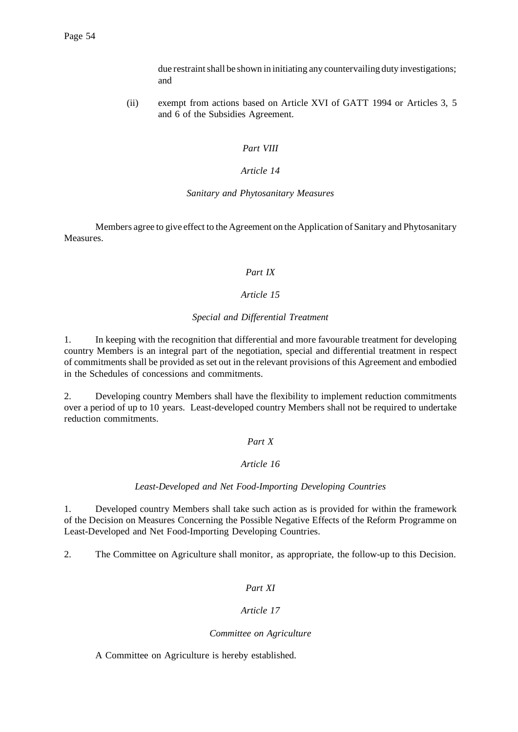due restraint shall be shown in initiating any countervailing duty investigations; and

(ii) exempt from actions based on Article XVI of GATT 1994 or Articles 3, 5 and 6 of the Subsidies Agreement.

# *Part VIII*

# *Article 14*

### *Sanitary and Phytosanitary Measures*

Members agree to give effect to the Agreement on the Application of Sanitary and Phytosanitary Measures.

### *Part IX*

# *Article 15*

### *Special and Differential Treatment*

1. In keeping with the recognition that differential and more favourable treatment for developing country Members is an integral part of the negotiation, special and differential treatment in respect of commitments shall be provided as set out in the relevant provisions of this Agreement and embodied in the Schedules of concessions and commitments.

2. Developing country Members shall have the flexibility to implement reduction commitments over a period of up to 10 years. Least-developed country Members shall not be required to undertake reduction commitments.

# *Part X*

### *Article 16*

### *Least-Developed and Net Food-Importing Developing Countries*

1. Developed country Members shall take such action as is provided for within the framework of the Decision on Measures Concerning the Possible Negative Effects of the Reform Programme on Least-Developed and Net Food-Importing Developing Countries.

2. The Committee on Agriculture shall monitor, as appropriate, the follow-up to this Decision.

# *Part XI*

# *Article 17*

### *Committee on Agriculture*

A Committee on Agriculture is hereby established.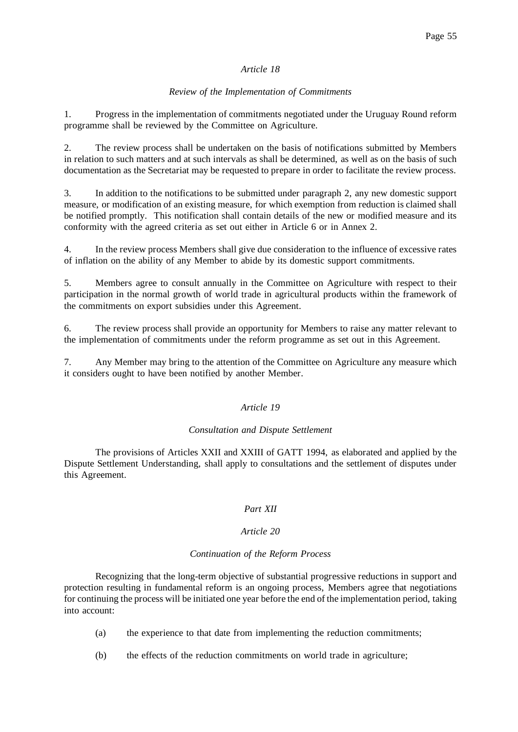# *Article 18*

# *Review of the Implementation of Commitments*

1. Progress in the implementation of commitments negotiated under the Uruguay Round reform programme shall be reviewed by the Committee on Agriculture.

2. The review process shall be undertaken on the basis of notifications submitted by Members in relation to such matters and at such intervals as shall be determined, as well as on the basis of such documentation as the Secretariat may be requested to prepare in order to facilitate the review process.

3. In addition to the notifications to be submitted under paragraph 2, any new domestic support measure, or modification of an existing measure, for which exemption from reduction is claimed shall be notified promptly. This notification shall contain details of the new or modified measure and its conformity with the agreed criteria as set out either in Article 6 or in Annex 2.

4. In the review process Members shall give due consideration to the influence of excessive rates of inflation on the ability of any Member to abide by its domestic support commitments.

5. Members agree to consult annually in the Committee on Agriculture with respect to their participation in the normal growth of world trade in agricultural products within the framework of the commitments on export subsidies under this Agreement.

6. The review process shall provide an opportunity for Members to raise any matter relevant to the implementation of commitments under the reform programme as set out in this Agreement.

7. Any Member may bring to the attention of the Committee on Agriculture any measure which it considers ought to have been notified by another Member.

# *Article 19*

# *Consultation and Dispute Settlement*

The provisions of Articles XXII and XXIII of GATT 1994, as elaborated and applied by the Dispute Settlement Understanding, shall apply to consultations and the settlement of disputes under this Agreement.

# *Part XII*

# *Article 20*

### *Continuation of the Reform Process*

Recognizing that the long-term objective of substantial progressive reductions in support and protection resulting in fundamental reform is an ongoing process, Members agree that negotiations for continuing the process will be initiated one year before the end of the implementation period, taking into account:

- (a) the experience to that date from implementing the reduction commitments;
- (b) the effects of the reduction commitments on world trade in agriculture;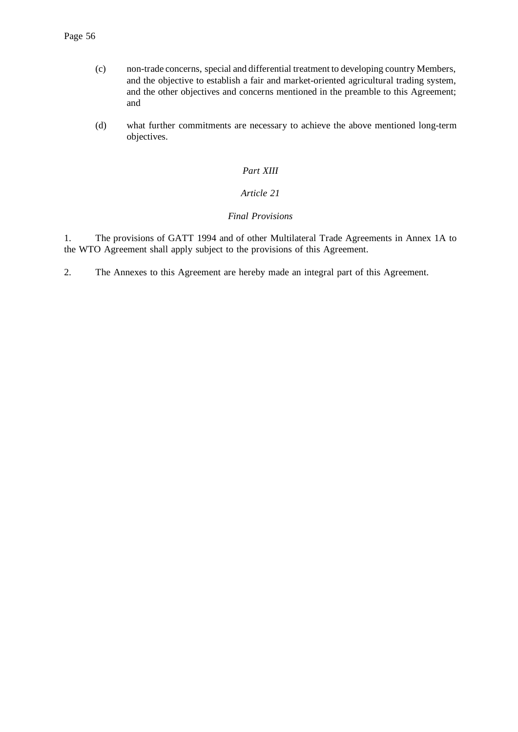- (c) non-trade concerns, special and differential treatment to developing country Members, and the objective to establish a fair and market-oriented agricultural trading system, and the other objectives and concerns mentioned in the preamble to this Agreement; and
- (d) what further commitments are necessary to achieve the above mentioned long-term objectives.

# *Part XIII*

### *Article 21*

# *Final Provisions*

1. The provisions of GATT 1994 and of other Multilateral Trade Agreements in Annex 1A to the WTO Agreement shall apply subject to the provisions of this Agreement.

2. The Annexes to this Agreement are hereby made an integral part of this Agreement.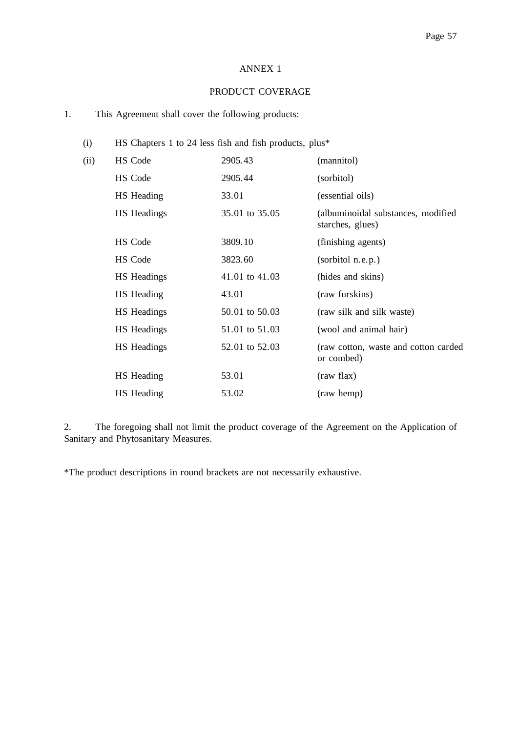# PRODUCT COVERAGE

# 1. This Agreement shall cover the following products:

### (i) HS Chapters 1 to 24 less fish and fish products, plus\*

| (ii) | HS Code            | 2905.43        | (mannitol)                                             |
|------|--------------------|----------------|--------------------------------------------------------|
|      | HS Code            | 2905.44        | (sorbitol)                                             |
|      | HS Heading         | 33.01          | (essential oils)                                       |
|      | <b>HS</b> Headings | 35.01 to 35.05 | (albuminoidal substances, modified<br>starches, glues) |
|      | HS Code            | 3809.10        | (finishing agents)                                     |
|      | HS Code            | 3823.60        | (sorbitol n.e.p.)                                      |
|      | <b>HS</b> Headings | 41.01 to 41.03 | (hides and skins)                                      |
|      | HS Heading         | 43.01          | (raw furskins)                                         |
|      | <b>HS</b> Headings | 50.01 to 50.03 | (raw silk and silk waste)                              |
|      | HS Headings        | 51.01 to 51.03 | (wool and animal hair)                                 |
|      | <b>HS</b> Headings | 52.01 to 52.03 | (raw cotton, waste and cotton carded<br>or combed)     |
|      | HS Heading         | 53.01          | (raw flax)                                             |
|      | HS Heading         | 53.02          | (raw hemp)                                             |
|      |                    |                |                                                        |

2. The foregoing shall not limit the product coverage of the Agreement on the Application of Sanitary and Phytosanitary Measures.

\*The product descriptions in round brackets are not necessarily exhaustive.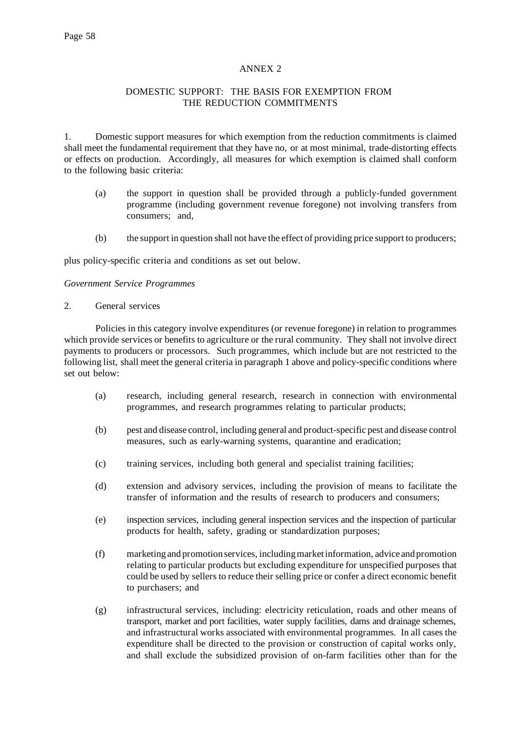# DOMESTIC SUPPORT: THE BASIS FOR EXEMPTION FROM THE REDUCTION COMMITMENTS

1. Domestic support measures for which exemption from the reduction commitments is claimed shall meet the fundamental requirement that they have no, or at most minimal, trade-distorting effects or effects on production. Accordingly, all measures for which exemption is claimed shall conform to the following basic criteria:

- (a) the support in question shall be provided through a publicly-funded government programme (including government revenue foregone) not involving transfers from consumers; and,
- (b) the support in question shall not have the effect of providing price support to producers;

plus policy-specific criteria and conditions as set out below.

### *Government Service Programmes*

2. General services

Policies in this category involve expenditures (or revenue foregone) in relation to programmes which provide services or benefits to agriculture or the rural community. They shall not involve direct payments to producers or processors. Such programmes, which include but are not restricted to the following list, shall meet the general criteria in paragraph 1 above and policy-specific conditions where set out below:

- (a) research, including general research, research in connection with environmental programmes, and research programmes relating to particular products;
- (b) pest and disease control, including general and product-specific pest and disease control measures, such as early-warning systems, quarantine and eradication;
- (c) training services, including both general and specialist training facilities;
- (d) extension and advisory services, including the provision of means to facilitate the transfer of information and the results of research to producers and consumers;
- (e) inspection services, including general inspection services and the inspection of particular products for health, safety, grading or standardization purposes;
- (f) marketing and promotion services,includingmarketinformation,advice and promotion relating to particular products but excluding expenditure for unspecified purposes that could be used by sellers to reduce their selling price or confer a direct economic benefit to purchasers; and
- (g) infrastructural services, including: electricity reticulation, roads and other means of transport, market and port facilities, water supply facilities, dams and drainage schemes, and infrastructural works associated with environmental programmes. In all cases the expenditure shall be directed to the provision or construction of capital works only, and shall exclude the subsidized provision of on-farm facilities other than for the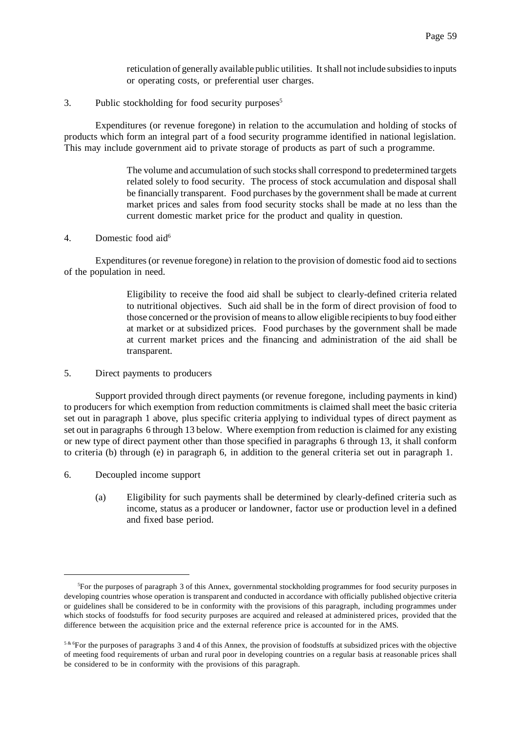reticulation of generally available public utilities. Itshall not include subsidiesto inputs or operating costs, or preferential user charges.

3. Public stockholding for food security purposes<sup>5</sup>

Expenditures (or revenue foregone) in relation to the accumulation and holding of stocks of products which form an integral part of a food security programme identified in national legislation. This may include government aid to private storage of products as part of such a programme.

> The volume and accumulation of such stocks shall correspond to predetermined targets related solely to food security. The process of stock accumulation and disposal shall be financially transparent. Food purchases by the government shall be made at current market prices and sales from food security stocks shall be made at no less than the current domestic market price for the product and quality in question.

4 Domestic food aid<sup>6</sup>

Expenditures(or revenue foregone) in relation to the provision of domestic food aid to sections of the population in need.

> Eligibility to receive the food aid shall be subject to clearly-defined criteria related to nutritional objectives. Such aid shall be in the form of direct provision of food to those concerned or the provision of means to allow eligible recipients to buy food either at market or at subsidized prices. Food purchases by the government shall be made at current market prices and the financing and administration of the aid shall be transparent.

5. Direct payments to producers

Support provided through direct payments (or revenue foregone, including payments in kind) to producers for which exemption from reduction commitments is claimed shall meet the basic criteria set out in paragraph 1 above, plus specific criteria applying to individual types of direct payment as set out in paragraphs 6 through 13 below. Where exemption from reduction is claimed for any existing or new type of direct payment other than those specified in paragraphs 6 through 13, it shall conform to criteria (b) through (e) in paragraph 6, in addition to the general criteria set out in paragraph 1.

- 6. Decoupled income support
	- (a) Eligibility for such payments shall be determined by clearly-defined criteria such as income, status as a producer or landowner, factor use or production level in a defined and fixed base period.

<sup>5</sup>For the purposes of paragraph 3 of this Annex, governmental stockholding programmes for food security purposes in developing countries whose operation is transparent and conducted in accordance with officially published objective criteria or guidelines shall be considered to be in conformity with the provisions of this paragraph, including programmes under which stocks of foodstuffs for food security purposes are acquired and released at administered prices, provided that the difference between the acquisition price and the external reference price is accounted for in the AMS.

<sup>5</sup> & <sup>6</sup>For the purposes of paragraphs 3 and 4 of this Annex, the provision of foodstuffs at subsidized prices with the objective of meeting food requirements of urban and rural poor in developing countries on a regular basis at reasonable prices shall be considered to be in conformity with the provisions of this paragraph.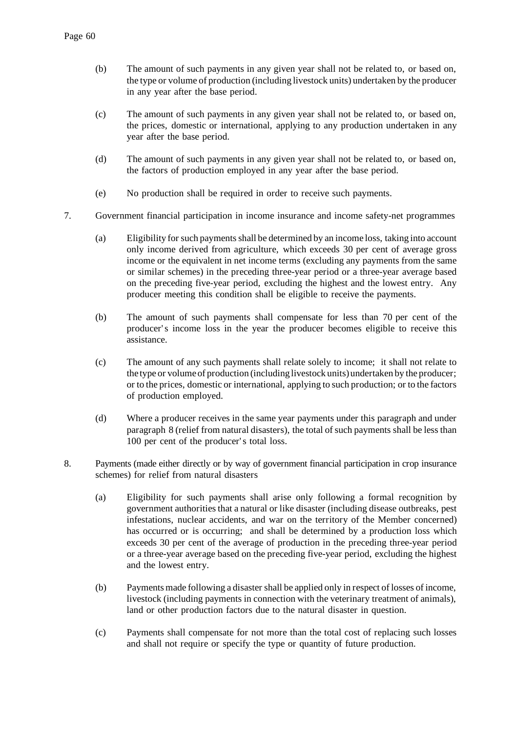- (b) The amount of such payments in any given year shall not be related to, or based on, the type or volume of production (including livestock units) undertaken by the producer in any year after the base period.
- (c) The amount of such payments in any given year shall not be related to, or based on, the prices, domestic or international, applying to any production undertaken in any year after the base period.
- (d) The amount of such payments in any given year shall not be related to, or based on, the factors of production employed in any year after the base period.
- (e) No production shall be required in order to receive such payments.
- 7. Government financial participation in income insurance and income safety-net programmes
	- (a) Eligibility forsuch paymentsshall be determined by an income loss, taking into account only income derived from agriculture, which exceeds 30 per cent of average gross income or the equivalent in net income terms (excluding any payments from the same or similar schemes) in the preceding three-year period or a three-year average based on the preceding five-year period, excluding the highest and the lowest entry. Any producer meeting this condition shall be eligible to receive the payments.
	- (b) The amount of such payments shall compensate for less than 70 per cent of the producer's income loss in the year the producer becomes eligible to receive this assistance.
	- (c) The amount of any such payments shall relate solely to income; it shall not relate to the type or volume of production (including livestock units) undertaken by the producer; or to the prices, domestic or international, applying to such production; or to the factors of production employed.
	- (d) Where a producer receives in the same year payments under this paragraph and under paragraph 8 (relief from natural disasters), the total of such payments shall be less than 100 per cent of the producer's total loss.
- 8. Payments (made either directly or by way of government financial participation in crop insurance schemes) for relief from natural disasters
	- (a) Eligibility for such payments shall arise only following a formal recognition by government authoritiesthat a natural or like disaster (including disease outbreaks, pest infestations, nuclear accidents, and war on the territory of the Member concerned) has occurred or is occurring; and shall be determined by a production loss which exceeds 30 per cent of the average of production in the preceding three-year period or a three-year average based on the preceding five-year period, excluding the highest and the lowest entry.
	- (b) Paymentsmade following a disastershall be applied only in respect of losses of income, livestock (including payments in connection with the veterinary treatment of animals), land or other production factors due to the natural disaster in question.
	- (c) Payments shall compensate for not more than the total cost of replacing such losses and shall not require or specify the type or quantity of future production.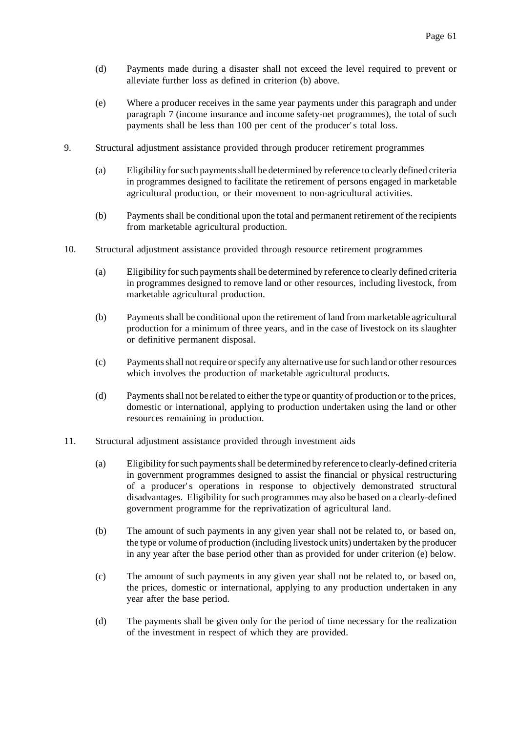- (d) Payments made during a disaster shall not exceed the level required to prevent or alleviate further loss as defined in criterion (b) above.
- (e) Where a producer receives in the same year payments under this paragraph and under paragraph 7 (income insurance and income safety-net programmes), the total of such payments shall be less than 100 per cent of the producer's total loss.
- 9. Structural adjustment assistance provided through producer retirement programmes
	- (a) Eligibility forsuch paymentsshall be determined by reference to clearly defined criteria in programmes designed to facilitate the retirement of persons engaged in marketable agricultural production, or their movement to non-agricultural activities.
	- (b) Payments shall be conditional upon the total and permanent retirement of the recipients from marketable agricultural production.
- 10. Structural adjustment assistance provided through resource retirement programmes
	- (a) Eligibility forsuch paymentsshall be determined by reference to clearly defined criteria in programmes designed to remove land or other resources, including livestock, from marketable agricultural production.
	- (b) Payments shall be conditional upon the retirement of land from marketable agricultural production for a minimum of three years, and in the case of livestock on its slaughter or definitive permanent disposal.
	- (c) Paymentsshall notrequire orspecify any alternative use forsuch land or otherresources which involves the production of marketable agricultural products.
	- (d) Payments shall not be related to either the type or quantity of production or to the prices, domestic or international, applying to production undertaken using the land or other resources remaining in production.
- 11. Structural adjustment assistance provided through investment aids
	- (a) Eligibility forsuch paymentsshall be determined by reference to clearly-defined criteria in government programmes designed to assist the financial or physical restructuring of a producer's operations in response to objectively demonstrated structural disadvantages. Eligibility for such programmes may also be based on a clearly-defined government programme for the reprivatization of agricultural land.
	- (b) The amount of such payments in any given year shall not be related to, or based on, the type or volume of production (including livestock units) undertaken by the producer in any year after the base period other than as provided for under criterion (e) below.
	- (c) The amount of such payments in any given year shall not be related to, or based on, the prices, domestic or international, applying to any production undertaken in any year after the base period.
	- (d) The payments shall be given only for the period of time necessary for the realization of the investment in respect of which they are provided.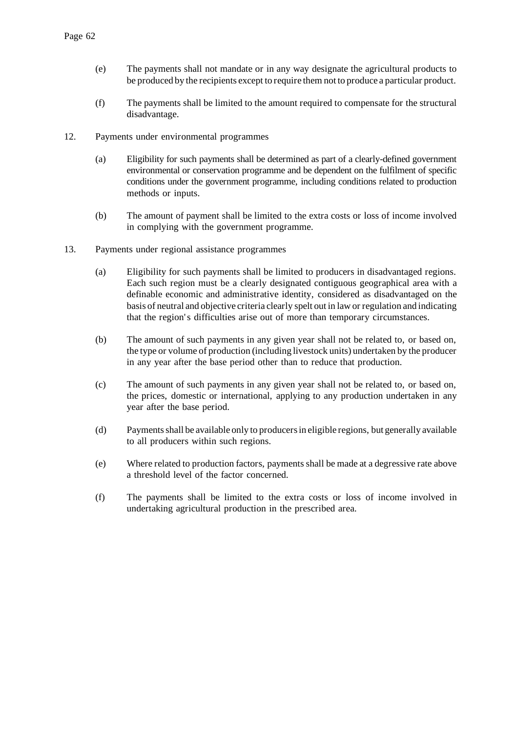- (e) The payments shall not mandate or in any way designate the agricultural products to be produced by the recipients except to require them not to produce a particular product.
- (f) The payments shall be limited to the amount required to compensate for the structural disadvantage.
- 12. Payments under environmental programmes
	- (a) Eligibility for such payments shall be determined as part of a clearly-defined government environmental or conservation programme and be dependent on the fulfilment of specific conditions under the government programme, including conditions related to production methods or inputs.
	- (b) The amount of payment shall be limited to the extra costs or loss of income involved in complying with the government programme.
- 13. Payments under regional assistance programmes
	- (a) Eligibility for such payments shall be limited to producers in disadvantaged regions. Each such region must be a clearly designated contiguous geographical area with a definable economic and administrative identity, considered as disadvantaged on the basis of neutral and objective criteria clearly spelt out in law orregulation and indicating that the region's difficulties arise out of more than temporary circumstances.
	- (b) The amount of such payments in any given year shall not be related to, or based on, the type or volume of production (including livestock units) undertaken by the producer in any year after the base period other than to reduce that production.
	- (c) The amount of such payments in any given year shall not be related to, or based on, the prices, domestic or international, applying to any production undertaken in any year after the base period.
	- (d) Paymentsshall be available only to producersin eligible regions, but generally available to all producers within such regions.
	- (e) Where related to production factors, paymentsshall be made at a degressive rate above a threshold level of the factor concerned.
	- (f) The payments shall be limited to the extra costs or loss of income involved in undertaking agricultural production in the prescribed area.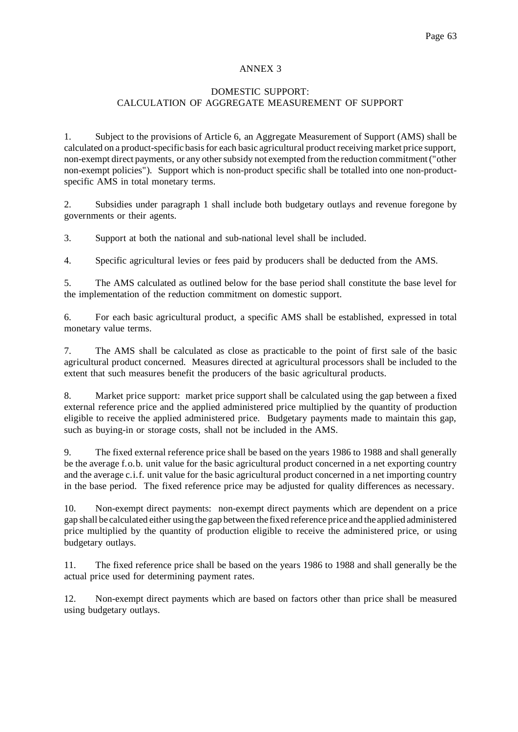# DOMESTIC SUPPORT: CALCULATION OF AGGREGATE MEASUREMENT OF SUPPORT

1. Subject to the provisions of Article 6, an Aggregate Measurement of Support (AMS) shall be calculated on a product-specific basis for each basic agricultural product receiving market price support, non-exempt direct payments, or any other subsidy not exempted from the reduction commitment ("other non-exempt policies"). Support which is non-product specific shall be totalled into one non-productspecific AMS in total monetary terms.

2. Subsidies under paragraph 1 shall include both budgetary outlays and revenue foregone by governments or their agents.

3. Support at both the national and sub-national level shall be included.

4. Specific agricultural levies or fees paid by producers shall be deducted from the AMS.

5. The AMS calculated as outlined below for the base period shall constitute the base level for the implementation of the reduction commitment on domestic support.

6. For each basic agricultural product, a specific AMS shall be established, expressed in total monetary value terms.

7. The AMS shall be calculated as close as practicable to the point of first sale of the basic agricultural product concerned. Measures directed at agricultural processors shall be included to the extent that such measures benefit the producers of the basic agricultural products.

8. Market price support: market price support shall be calculated using the gap between a fixed external reference price and the applied administered price multiplied by the quantity of production eligible to receive the applied administered price. Budgetary payments made to maintain this gap, such as buying-in or storage costs, shall not be included in the AMS.

9. The fixed external reference price shall be based on the years 1986 to 1988 and shall generally be the average f.o.b. unit value for the basic agricultural product concerned in a net exporting country and the average c.i.f. unit value for the basic agricultural product concerned in a net importing country in the base period. The fixed reference price may be adjusted for quality differences as necessary.

10. Non-exempt direct payments: non-exempt direct payments which are dependent on a price gap shall be calculated either using the gap between the fixed reference price and the applied administered price multiplied by the quantity of production eligible to receive the administered price, or using budgetary outlays.

11. The fixed reference price shall be based on the years 1986 to 1988 and shall generally be the actual price used for determining payment rates.

12. Non-exempt direct payments which are based on factors other than price shall be measured using budgetary outlays.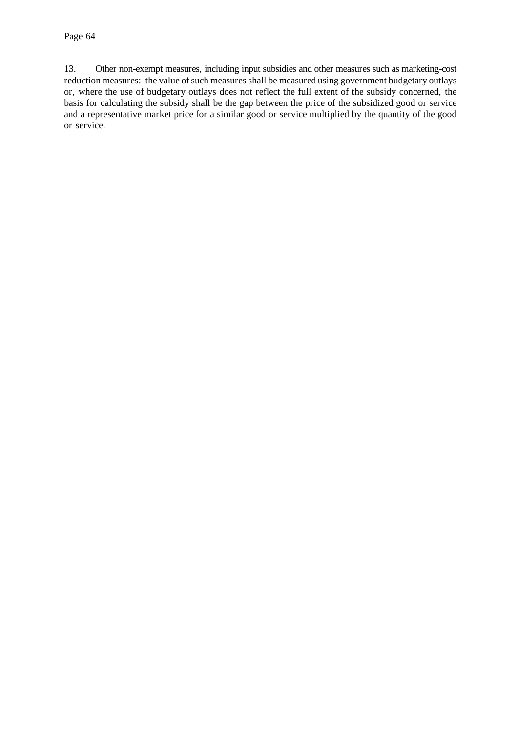13. Other non-exempt measures, including input subsidies and other measures such as marketing-cost reduction measures: the value of such measures shall be measured using government budgetary outlays or, where the use of budgetary outlays does not reflect the full extent of the subsidy concerned, the basis for calculating the subsidy shall be the gap between the price of the subsidized good or service and a representative market price for a similar good or service multiplied by the quantity of the good or service.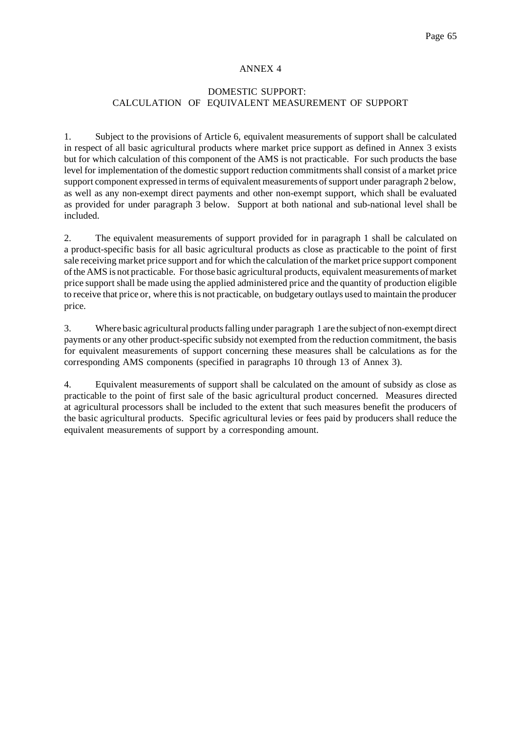# DOMESTIC SUPPORT: CALCULATION OF EQUIVALENT MEASUREMENT OF SUPPORT

1. Subject to the provisions of Article 6, equivalent measurements of support shall be calculated in respect of all basic agricultural products where market price support as defined in Annex 3 exists but for which calculation of this component of the AMS is not practicable. For such products the base level for implementation of the domestic support reduction commitments shall consist of a market price support component expressed in terms of equivalent measurements of support under paragraph 2 below, as well as any non-exempt direct payments and other non-exempt support, which shall be evaluated as provided for under paragraph 3 below. Support at both national and sub-national level shall be included.

2. The equivalent measurements of support provided for in paragraph 1 shall be calculated on a product-specific basis for all basic agricultural products as close as practicable to the point of first sale receiving market price support and for which the calculation of the market price support component ofthe AMS is not practicable. Forthose basic agricultural products, equivalent measurements ofmarket price support shall be made using the applied administered price and the quantity of production eligible to receive that price or, where this is not practicable, on budgetary outlays used to maintain the producer price.

3. Where basic agricultural productsfalling under paragraph 1 are the subject of non-exempt direct payments or any other product-specific subsidy not exempted from the reduction commitment, the basis for equivalent measurements of support concerning these measures shall be calculations as for the corresponding AMS components (specified in paragraphs 10 through 13 of Annex 3).

4. Equivalent measurements of support shall be calculated on the amount of subsidy as close as practicable to the point of first sale of the basic agricultural product concerned. Measures directed at agricultural processors shall be included to the extent that such measures benefit the producers of the basic agricultural products. Specific agricultural levies or fees paid by producers shall reduce the equivalent measurements of support by a corresponding amount.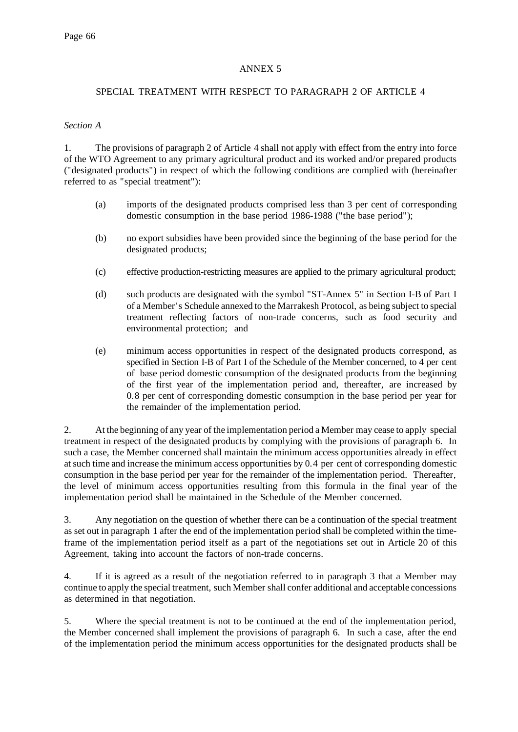### SPECIAL TREATMENT WITH RESPECT TO PARAGRAPH 2 OF ARTICLE 4

### *Section A*

1. The provisions of paragraph 2 of Article 4 shall not apply with effect from the entry into force of the WTO Agreement to any primary agricultural product and its worked and/or prepared products ("designated products") in respect of which the following conditions are complied with (hereinafter referred to as "special treatment"):

- (a) imports of the designated products comprised less than 3 per cent of corresponding domestic consumption in the base period 1986-1988 ("the base period");
- (b) no export subsidies have been provided since the beginning of the base period for the designated products;
- (c) effective production-restricting measures are applied to the primary agricultural product;
- (d) such products are designated with the symbol "ST-Annex 5" in Section I-B of Part I of a Member's Schedule annexed to the Marrakesh Protocol, as being subject to special treatment reflecting factors of non-trade concerns, such as food security and environmental protection; and
- (e) minimum access opportunities in respect of the designated products correspond, as specified in Section I-B of Part I of the Schedule of the Member concerned, to 4 per cent of base period domestic consumption of the designated products from the beginning of the first year of the implementation period and, thereafter, are increased by 0.8 per cent of corresponding domestic consumption in the base period per year for the remainder of the implementation period.

2. At the beginning of any year of the implementation period a Member may cease to apply special treatment in respect of the designated products by complying with the provisions of paragraph 6. In such a case, the Member concerned shall maintain the minimum access opportunities already in effect atsuch time and increase the minimum access opportunities by 0.4 per cent of corresponding domestic consumption in the base period per year for the remainder of the implementation period. Thereafter, the level of minimum access opportunities resulting from this formula in the final year of the implementation period shall be maintained in the Schedule of the Member concerned.

3. Any negotiation on the question of whether there can be a continuation of the special treatment as set out in paragraph 1 after the end of the implementation period shall be completed within the timeframe of the implementation period itself as a part of the negotiations set out in Article 20 of this Agreement, taking into account the factors of non-trade concerns.

4. If it is agreed as a result of the negotiation referred to in paragraph 3 that a Member may continue to apply the special treatment, such Member shall confer additional and acceptable concessions as determined in that negotiation.

5. Where the special treatment is not to be continued at the end of the implementation period, the Member concerned shall implement the provisions of paragraph 6. In such a case, after the end of the implementation period the minimum access opportunities for the designated products shall be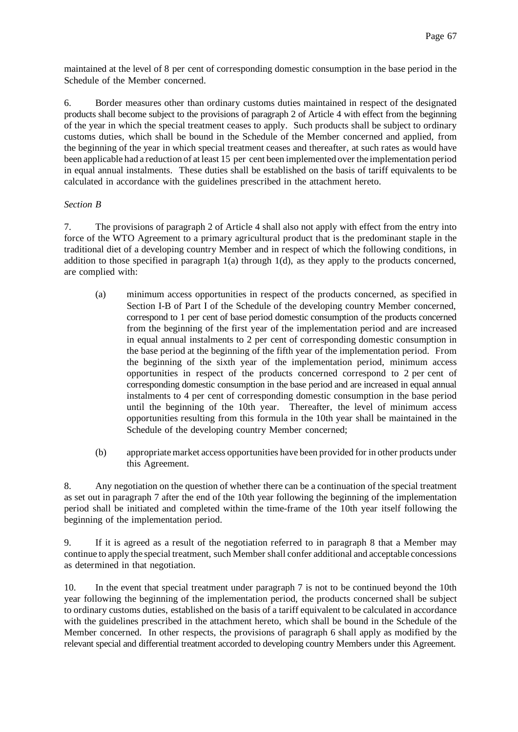maintained at the level of 8 per cent of corresponding domestic consumption in the base period in the Schedule of the Member concerned.

6. Border measures other than ordinary customs duties maintained in respect of the designated products shall become subject to the provisions of paragraph 2 of Article 4 with effect from the beginning of the year in which the special treatment ceases to apply. Such products shall be subject to ordinary customs duties, which shall be bound in the Schedule of the Member concerned and applied, from the beginning of the year in which special treatment ceases and thereafter, at such rates as would have been applicable had a reduction of at least 15 per cent been implemented overthe implementation period in equal annual instalments. These duties shall be established on the basis of tariff equivalents to be calculated in accordance with the guidelines prescribed in the attachment hereto.

### *Section B*

7. The provisions of paragraph 2 of Article 4 shall also not apply with effect from the entry into force of the WTO Agreement to a primary agricultural product that is the predominant staple in the traditional diet of a developing country Member and in respect of which the following conditions, in addition to those specified in paragraph 1(a) through 1(d), as they apply to the products concerned, are complied with:

- (a) minimum access opportunities in respect of the products concerned, as specified in Section I-B of Part I of the Schedule of the developing country Member concerned, correspond to 1 per cent of base period domestic consumption of the products concerned from the beginning of the first year of the implementation period and are increased in equal annual instalments to 2 per cent of corresponding domestic consumption in the base period at the beginning of the fifth year of the implementation period. From the beginning of the sixth year of the implementation period, minimum access opportunities in respect of the products concerned correspond to 2 per cent of corresponding domestic consumption in the base period and are increased in equal annual instalments to 4 per cent of corresponding domestic consumption in the base period until the beginning of the 10th year. Thereafter, the level of minimum access opportunities resulting from this formula in the 10th year shall be maintained in the Schedule of the developing country Member concerned;
- (b) appropriate market access opportunities have been provided for in other products under this Agreement.

8. Any negotiation on the question of whether there can be a continuation of the special treatment as set out in paragraph 7 after the end of the 10th year following the beginning of the implementation period shall be initiated and completed within the time-frame of the 10th year itself following the beginning of the implementation period.

9. If it is agreed as a result of the negotiation referred to in paragraph 8 that a Member may continue to apply the special treatment, such Member shall confer additional and acceptable concessions as determined in that negotiation.

10. In the event that special treatment under paragraph 7 is not to be continued beyond the 10th year following the beginning of the implementation period, the products concerned shall be subject to ordinary customs duties, established on the basis of a tariff equivalent to be calculated in accordance with the guidelines prescribed in the attachment hereto, which shall be bound in the Schedule of the Member concerned. In other respects, the provisions of paragraph 6 shall apply as modified by the relevant special and differential treatment accorded to developing country Members under this Agreement.